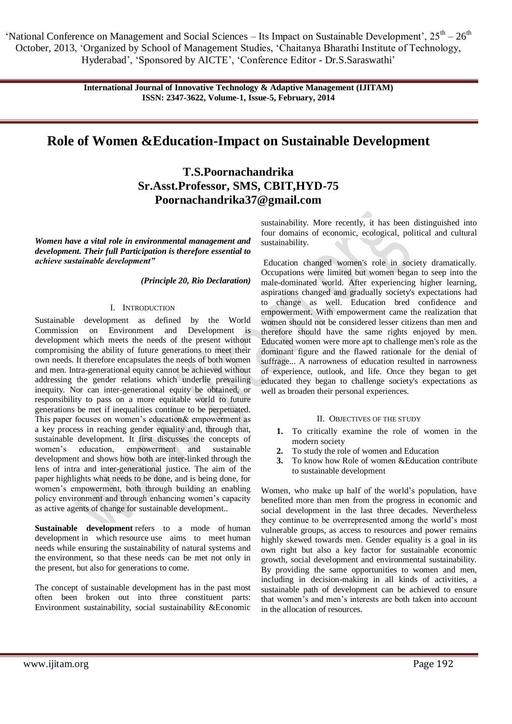> **International Journal of Innovative Technology & Adaptive Management (IJITAM) ISSN: 2347-3622, Volume-1, Issue-5, February, 2014**

# **Role of Women &Education-Impact on Sustainable Development**

**T.S.Poornachandrika Sr.Asst.Professor, SMS, CBIT,HYD-75 Poornachandrika37@gmail.com**

*Women have a vital role in environmental management and development. Their full Participation is therefore essential to achieve sustainable development"*

*(Principle 20, Rio Declaration)*

#### I. INTRODUCTION

Sustainable development as defined by the World Commission on Environment and Development is development which meets the needs of the present without compromising the ability of future generations to meet their own needs. It therefore encapsulates the needs of both women and men. Intra-generational equity cannot be achieved without addressing the gender relations which underlie prevailing inequity. Nor can inter-generational equity be obtained, or responsibility to pass on a more equitable world to future generations be met if inequalities continue to be perpetuated. This paper focuses on women's education& empowerment as a key process in reaching gender equality and, through that, sustainable development. It first discusses the concepts of women's education, empowerment and sustainable development and shows how both are inter-linked through the lens of intra and inter-generational justice. The aim of the paper highlights what needs to be done, and is being done, for women's empowerment, both through building an enabling policy environment and through enhancing women's capacity as active agents of change for sustainable development..

**Sustainable development** refers to a mode of human development in which resource use aims to meet human needs while ensuring the sustainability of natural systems and the environment, so that these needs can be met not only in the present, but also for generations to come.

The concept of sustainable development has in the past most often been broken out into three constituent parts: Environment sustainability, social sustainability &Economic sustainability. More recently, it has been distinguished into four domains of economic, ecological, political and cultural sustainability.

Education changed women's role in society dramatically. Occupations were limited but women began to seep into the male-dominated world. After experiencing higher learning, aspirations changed and gradually society's expectations had to change as well. Education bred confidence and empowerment. With empowerment came the realization that women should not be considered lesser citizens than men and therefore should have the same rights enjoyed by men. Educated women were more apt to challenge men's role as the dominant figure and the flawed rationale for the denial of suffrage... A narrowness of education resulted in narrowness of experience, outlook, and life. Once they began to get educated they began to challenge society's expectations as well as broaden their personal experiences.

#### II. OBJECTIVES OF THE STUDY

- **1.** To critically examine the role of women in the modern society
- **2.** To study the role of women and Education
- **3.** To know how Role of women &Education contribute to sustainable development

Women, who make up half of the world's population, have benefited more than men from the progress in economic and social development in the last three decades. Nevertheless they continue to be overrepresented among the world's most vulnerable groups, as access to resources and power remains highly skewed towards men. Gender equality is a goal in its own right but also a key factor for sustainable economic growth, social development and environmental sustainability. By providing the same opportunities to women and men, including in decision-making in all kinds of activities, a sustainable path of development can be achieved to ensure that women's and men's interests are both taken into account in the allocation of resources.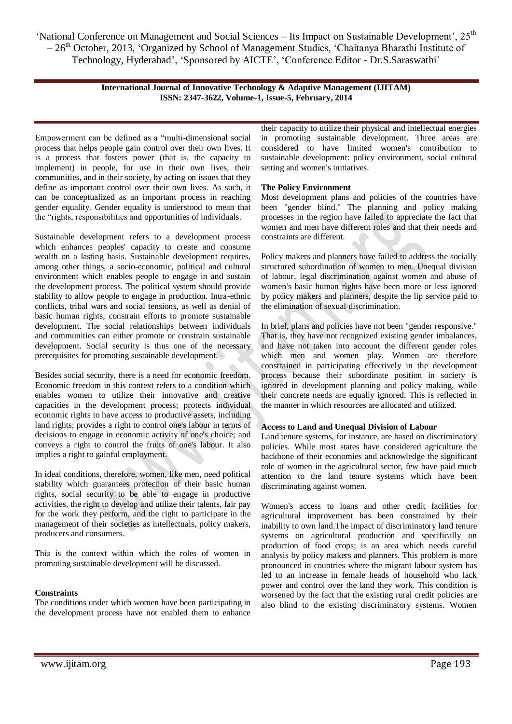> **International Journal of Innovative Technology & Adaptive Management (IJITAM) ISSN: 2347-3622, Volume-1, Issue-5, February, 2014**

Empowerment can be defined as a "multi-dimensional social process that helps people gain control over their own lives. It is a process that fosters power (that is, the capacity to implement) in people, for use in their own lives, their communities, and in their society, by acting on issues that they define as important control over their own lives. As such, it can be conceptualized as an important process in reaching gender equality. Gender equality is understood to mean that the "rights, responsibilities and opportunities of individuals.

Sustainable development refers to a development process which enhances peoples' capacity to create and consume wealth on a lasting basis. Sustainable development requires, among other things, a socio-economic, political and cultural environment which enables people to engage in and sustain the development process. The political system should provide stability to allow people to engage in production. Intra-ethnic conflicts, tribal wars and social tensions, as well as denial of basic human rights, constrain efforts to promote sustainable development. The social relationships between individuals and communities can either promote or constrain sustainable development. Social security is thus one of the necessary prerequisites for promoting sustainable development.

Besides social security, there is a need for economic freedom. Economic freedom in this context refers to a condition which enables women to utilize their innovative and creative capacities in the development process; protects individual economic rights to have access to productive assets, including land rights; provides a right to control one's labour in terms of decisions to engage in economic activity of one's choice; and conveys a right to control the fruits of one's labour. It also implies a right to gainful employment.

In ideal conditions, therefore, women, like men, need political stability which guarantees protection of their basic human rights, social security to be able to engage in productive activities, the right to develop and utilize their talents, fair pay for the work they perform, and the right to participate in the management of their societies as intellectuals, policy makers, producers and consumers.

This is the context within which the roles of women in promoting sustainable development will be discussed.

#### **Constraints**

The conditions under which women have been participating in the development process have not enabled them to enhance

their capacity to utilize their physical and intellectual energies in promoting sustainable development. Three areas are considered to have limited women's contribution to sustainable development: policy environment, social cultural setting and women's initiatives.

#### **The Policy Environment**

Most development plans and policies of the countries have been "gender blind." The planning and policy making processes in the region have failed to appreciate the fact that women and men have different roles and that their needs and constraints are different.

Policy makers and planners have failed to address the socially structured subordination of women to men. Unequal division of labour, legal discrimination against women and abuse of women's basic human rights have been more or less ignored by policy makers and planners, despite the lip service paid to the elimination of sexual discrimination.

In brief, plans and policies have not been "gender responsive." That is, they have not recognized existing gender imbalances, and have not taken into account the different gender roles which men and women play. Women are therefore constrained in participating effectively in the development process because their subordinate position in society is ignored in development planning and policy making, while their concrete needs are equally ignored. This is reflected in the manner in which resources are allocated and utilized.

#### **Access to Land and Unequal Division of Labour**

Land tenure systems, for instance, are based on discriminatory policies. While most states have considered agriculture the backbone of their economies and acknowledge the significant role of women in the agricultural sector, few have paid much attention to the land tenure systems which have been discriminating against women.

Women's access to loans and other credit facilities for agricultural improvement has been constrained by their inability to own land.The impact of discriminatory land tenure systems on agricultural production and specifically on production of food crops; is an area which needs careful analysis by policy makers and planners. This problem is more pronounced in countries where the migrant labour system has led to an increase in female heads of household who lack power and control over the land they work. This condition is worsened by the fact that the existing rural credit policies are also blind to the existing discriminatory systems. Women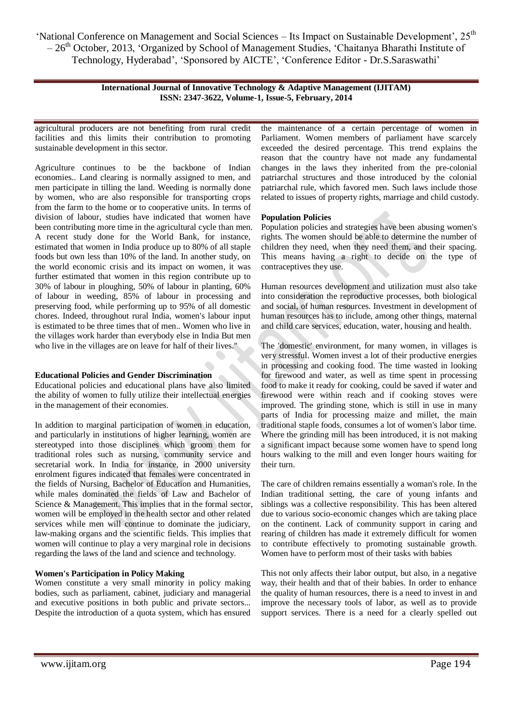> **International Journal of Innovative Technology & Adaptive Management (IJITAM) ISSN: 2347-3622, Volume-1, Issue-5, February, 2014**

agricultural producers are not benefiting from rural credit facilities and this limits their contribution to promoting sustainable development in this sector.

Agriculture continues to be the backbone of Indian economies.. Land clearing is normally assigned to men, and men participate in tilling the land. Weeding is normally done by women, who are also responsible for transporting crops from the farm to the home or to cooperative units. In terms of division of labour, studies have indicated that women have been contributing more time in the agricultural cycle than men. A recent study done for the World Bank, for instance, estimated that women in India produce up to 80% of all staple foods but own less than 10% of the land. In another study, on the world economic crisis and its impact on women, it was further estimated that women in this region contribute up to 30% of labour in ploughing, 50% of labour in planting, 60% of labour in weeding, 85% of labour in processing and preserving food, while performing up to 95% of all domestic chores. Indeed, throughout rural India, women's labour input is estimated to be three times that of men.. Women who live in the villages work harder than everybody else in India But men who live in the villages are on leave for half of their lives."

#### **Educational Policies and Gender Discrimination**

Educational policies and educational plans have also limited the ability of women to fully utilize their intellectual energies in the management of their economies.

In addition to marginal participation of women in education, and particularly in institutions of higher learning, women are stereotyped into those disciplines which groom them for traditional roles such as nursing, community service and secretarial work. In India for instance, in 2000 university enrolment figures indicated that females were concentrated in the fields of Nursing, Bachelor of Education and Humanities, while males dominated the fields of Law and Bachelor of Science & Management. This implies that in the formal sector, women will be employed in the health sector and other related services while men will continue to dominate the judiciary, law-making organs and the scientific fields. This implies that women will continue to play a very marginal role in decisions regarding the laws of the land and science and technology.

## **Women's Participation in Policy Making**

Women constitute a very small minority in policy making bodies, such as parliament, cabinet, judiciary and managerial and executive positions in both public and private sectors... Despite the introduction of a quota system, which has ensured

the maintenance of a certain percentage of women in Parliament. Women members of parliament have scarcely exceeded the desired percentage. This trend explains the reason that the country have not made any fundamental changes in the laws they inherited from the pre-colonial patriarchal structures and those introduced by the colonial patriarchal rule, which favored men. Such laws include those related to issues of property rights, marriage and child custody.

## **Population Policies**

Population policies and strategies have been abusing women's rights. The women should be able to determine the number of children they need, when they need them, and their spacing. This means having a right to decide on the type of contraceptives they use.

Human resources development and utilization must also take into consideration the reproductive processes, both biological and social, of human resources. Investment in development of human resources has to include, among other things, maternal and child care services, education, water, housing and health.

The 'domestic' environment, for many women, in villages is very stressful. Women invest a lot of their productive energies in processing and cooking food. The time wasted in looking for firewood and water, as well as time spent in processing food to make it ready for cooking, could be saved if water and firewood were within reach and if cooking stoves were improved. The grinding stone, which is still in use in many parts of India for processing maize and millet, the main traditional staple foods, consumes a lot of women's labor time. Where the grinding mill has been introduced, it is not making a significant impact because some women have to spend long hours walking to the mill and even longer hours waiting for their turn.

The care of children remains essentially a woman's role. In the Indian traditional setting, the care of young infants and siblings was a collective responsibility. This has been altered due to various socio-economic changes which are taking place on the continent. Lack of community support in caring and rearing of children has made it extremely difficult for women to contribute effectively to promoting sustainable growth. Women have to perform most of their tasks with babies

This not only affects their labor output, but also, in a negative way, their health and that of their babies. In order to enhance the quality of human resources, there is a need to invest in and improve the necessary tools of labor, as well as to provide support services. There is a need for a clearly spelled out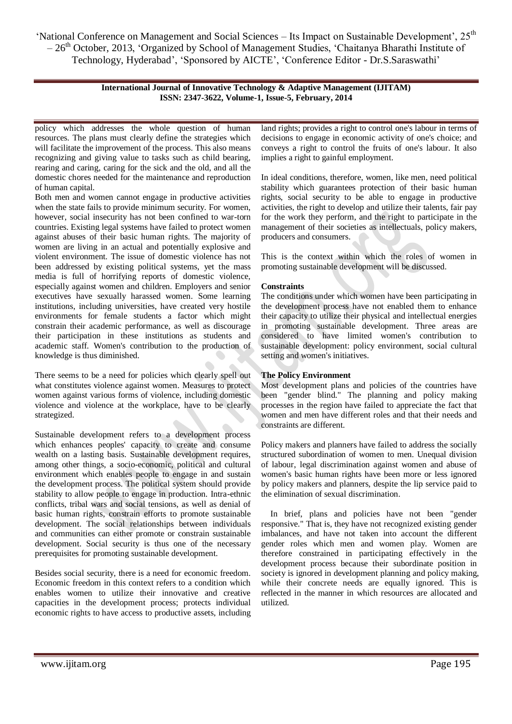> **International Journal of Innovative Technology & Adaptive Management (IJITAM) ISSN: 2347-3622, Volume-1, Issue-5, February, 2014**

policy which addresses the whole question of human resources. The plans must clearly define the strategies which will facilitate the improvement of the process. This also means recognizing and giving value to tasks such as child bearing, rearing and caring, caring for the sick and the old, and all the domestic chores needed for the maintenance and reproduction of human capital.

Both men and women cannot engage in productive activities when the state fails to provide minimum security. For women, however, social insecurity has not been confined to war-torn countries. Existing legal systems have failed to protect women against abuses of their basic human rights. The majority of women are living in an actual and potentially explosive and violent environment. The issue of domestic violence has not been addressed by existing political systems, yet the mass media is full of horrifying reports of domestic violence, especially against women and children. Employers and senior executives have sexually harassed women. Some learning institutions, including universities, have created very hostile environments for female students a factor which might constrain their academic performance, as well as discourage their participation in these institutions as students and academic staff. Women's contribution to the production of knowledge is thus diminished.

There seems to be a need for policies which clearly spell out what constitutes violence against women. Measures to protect women against various forms of violence, including domestic violence and violence at the workplace, have to be clearly strategized.

Sustainable development refers to a development process which enhances peoples' capacity to create and consume wealth on a lasting basis. Sustainable development requires, among other things, a socio-economic, political and cultural environment which enables people to engage in and sustain the development process. The political system should provide stability to allow people to engage in production. Intra-ethnic conflicts, tribal wars and social tensions, as well as denial of basic human rights, constrain efforts to promote sustainable development. The social relationships between individuals and communities can either promote or constrain sustainable development. Social security is thus one of the necessary prerequisites for promoting sustainable development.

Besides social security, there is a need for economic freedom. Economic freedom in this context refers to a condition which enables women to utilize their innovative and creative capacities in the development process; protects individual economic rights to have access to productive assets, including land rights; provides a right to control one's labour in terms of decisions to engage in economic activity of one's choice; and conveys a right to control the fruits of one's labour. It also implies a right to gainful employment.

In ideal conditions, therefore, women, like men, need political stability which guarantees protection of their basic human rights, social security to be able to engage in productive activities, the right to develop and utilize their talents, fair pay for the work they perform, and the right to participate in the management of their societies as intellectuals, policy makers, producers and consumers.

This is the context within which the roles of women in promoting sustainable development will be discussed.

## **Constraints**

The conditions under which women have been participating in the development process have not enabled them to enhance their capacity to utilize their physical and intellectual energies in promoting sustainable development. Three areas are considered to have limited women's contribution to sustainable development: policy environment, social cultural setting and women's initiatives.

#### **The Policy Environment**

Most development plans and policies of the countries have been "gender blind." The planning and policy making processes in the region have failed to appreciate the fact that women and men have different roles and that their needs and constraints are different.

Policy makers and planners have failed to address the socially structured subordination of women to men. Unequal division of labour, legal discrimination against women and abuse of women's basic human rights have been more or less ignored by policy makers and planners, despite the lip service paid to the elimination of sexual discrimination.

In brief, plans and policies have not been "gender responsive." That is, they have not recognized existing gender imbalances, and have not taken into account the different gender roles which men and women play. Women are therefore constrained in participating effectively in the development process because their subordinate position in society is ignored in development planning and policy making, while their concrete needs are equally ignored. This is reflected in the manner in which resources are allocated and utilized.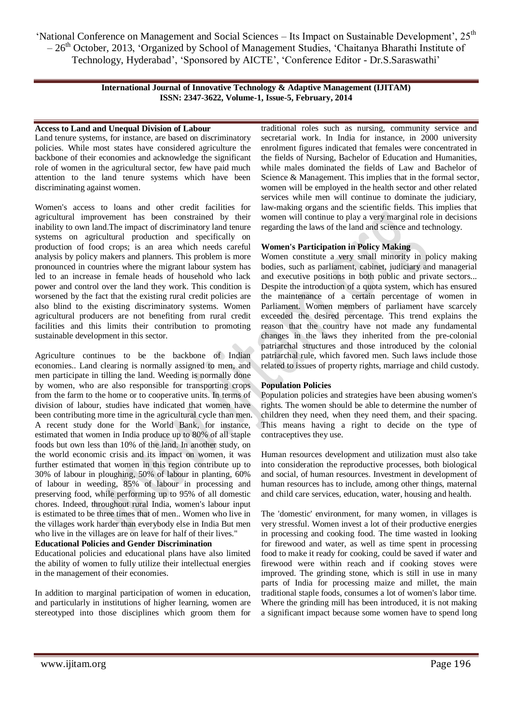> **International Journal of Innovative Technology & Adaptive Management (IJITAM) ISSN: 2347-3622, Volume-1, Issue-5, February, 2014**

# **Access to Land and Unequal Division of Labour**

Land tenure systems, for instance, are based on discriminatory policies. While most states have considered agriculture the backbone of their economies and acknowledge the significant role of women in the agricultural sector, few have paid much attention to the land tenure systems which have been discriminating against women.

Women's access to loans and other credit facilities for agricultural improvement has been constrained by their inability to own land.The impact of discriminatory land tenure systems on agricultural production and specifically on production of food crops; is an area which needs careful analysis by policy makers and planners. This problem is more pronounced in countries where the migrant labour system has led to an increase in female heads of household who lack power and control over the land they work. This condition is worsened by the fact that the existing rural credit policies are also blind to the existing discriminatory systems. Women agricultural producers are not benefiting from rural credit facilities and this limits their contribution to promoting sustainable development in this sector.

Agriculture continues to be the backbone of Indian economies.. Land clearing is normally assigned to men, and men participate in tilling the land. Weeding is normally done by women, who are also responsible for transporting crops from the farm to the home or to cooperative units. In terms of division of labour, studies have indicated that women have been contributing more time in the agricultural cycle than men. A recent study done for the World Bank, for instance, estimated that women in India produce up to 80% of all staple foods but own less than 10% of the land. In another study, on the world economic crisis and its impact on women, it was further estimated that women in this region contribute up to 30% of labour in ploughing, 50% of labour in planting, 60% of labour in weeding, 85% of labour in processing and preserving food, while performing up to 95% of all domestic chores. Indeed, throughout rural India, women's labour input is estimated to be three times that of men.. Women who live in the villages work harder than everybody else in India But men who live in the villages are on leave for half of their lives."

## **Educational Policies and Gender Discrimination**

Educational policies and educational plans have also limited the ability of women to fully utilize their intellectual energies in the management of their economies.

In addition to marginal participation of women in education, and particularly in institutions of higher learning, women are stereotyped into those disciplines which groom them for traditional roles such as nursing, community service and secretarial work. In India for instance, in 2000 university enrolment figures indicated that females were concentrated in the fields of Nursing, Bachelor of Education and Humanities, while males dominated the fields of Law and Bachelor of Science & Management. This implies that in the formal sector, women will be employed in the health sector and other related services while men will continue to dominate the judiciary, law-making organs and the scientific fields. This implies that women will continue to play a very marginal role in decisions regarding the laws of the land and science and technology.

## **Women's Participation in Policy Making**

Women constitute a very small minority in policy making bodies, such as parliament, cabinet, judiciary and managerial and executive positions in both public and private sectors... Despite the introduction of a quota system, which has ensured the maintenance of a certain percentage of women in Parliament. Women members of parliament have scarcely exceeded the desired percentage. This trend explains the reason that the country have not made any fundamental changes in the laws they inherited from the pre-colonial patriarchal structures and those introduced by the colonial patriarchal rule, which favored men. Such laws include those related to issues of property rights, marriage and child custody.

#### **Population Policies**

Population policies and strategies have been abusing women's rights. The women should be able to determine the number of children they need, when they need them, and their spacing. This means having a right to decide on the type of contraceptives they use.

Human resources development and utilization must also take into consideration the reproductive processes, both biological and social, of human resources. Investment in development of human resources has to include, among other things, maternal and child care services, education, water, housing and health.

The 'domestic' environment, for many women, in villages is very stressful. Women invest a lot of their productive energies in processing and cooking food. The time wasted in looking for firewood and water, as well as time spent in processing food to make it ready for cooking, could be saved if water and firewood were within reach and if cooking stoves were improved. The grinding stone, which is still in use in many parts of India for processing maize and millet, the main traditional staple foods, consumes a lot of women's labor time. Where the grinding mill has been introduced, it is not making a significant impact because some women have to spend long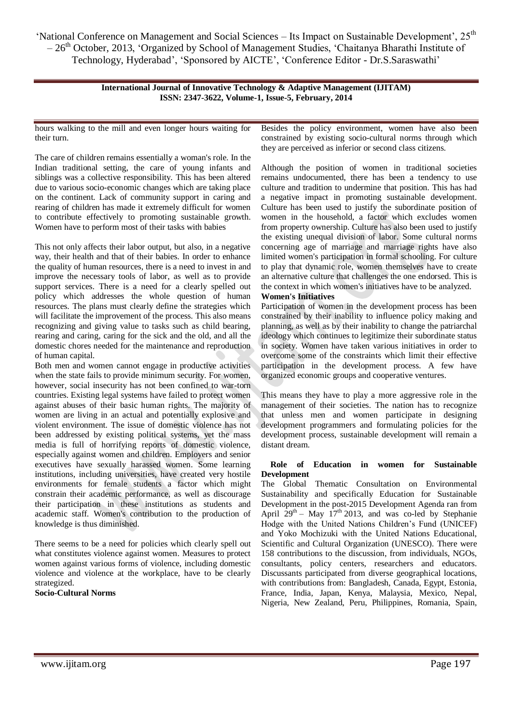> **International Journal of Innovative Technology & Adaptive Management (IJITAM) ISSN: 2347-3622, Volume-1, Issue-5, February, 2014**

hours walking to the mill and even longer hours waiting for their turn.

The care of children remains essentially a woman's role. In the Indian traditional setting, the care of young infants and siblings was a collective responsibility. This has been altered due to various socio-economic changes which are taking place on the continent. Lack of community support in caring and rearing of children has made it extremely difficult for women to contribute effectively to promoting sustainable growth. Women have to perform most of their tasks with babies

This not only affects their labor output, but also, in a negative way, their health and that of their babies. In order to enhance the quality of human resources, there is a need to invest in and improve the necessary tools of labor, as well as to provide support services. There is a need for a clearly spelled out policy which addresses the whole question of human resources. The plans must clearly define the strategies which will facilitate the improvement of the process. This also means recognizing and giving value to tasks such as child bearing, rearing and caring, caring for the sick and the old, and all the domestic chores needed for the maintenance and reproduction of human capital.

Both men and women cannot engage in productive activities when the state fails to provide minimum security. For women, however, social insecurity has not been confined to war-torn countries. Existing legal systems have failed to protect women against abuses of their basic human rights. The majority of women are living in an actual and potentially explosive and violent environment. The issue of domestic violence has not been addressed by existing political systems, yet the mass media is full of horrifying reports of domestic violence, especially against women and children. Employers and senior executives have sexually harassed women. Some learning institutions, including universities, have created very hostile environments for female students a factor which might constrain their academic performance, as well as discourage their participation in these institutions as students and academic staff. Women's contribution to the production of knowledge is thus diminished.

There seems to be a need for policies which clearly spell out what constitutes violence against women. Measures to protect women against various forms of violence, including domestic violence and violence at the workplace, have to be clearly strategized.

**Socio-Cultural Norms**

Besides the policy environment, women have also been constrained by existing socio-cultural norms through which they are perceived as inferior or second class citizens.

Although the position of women in traditional societies remains undocumented, there has been a tendency to use culture and tradition to undermine that position. This has had a negative impact in promoting sustainable development. Culture has been used to justify the subordinate position of women in the household, a factor which excludes women from property ownership. Culture has also been used to justify the existing unequal division of labor. Some cultural norms concerning age of marriage and marriage rights have also limited women's participation in formal schooling. For culture to play that dynamic role, women themselves have to create an alternative culture that challenges the one endorsed. This is the context in which women's initiatives have to be analyzed.

**Women's Initiatives**

Participation of women in the development process has been constrained by their inability to influence policy making and planning, as well as by their inability to change the patriarchal ideology which continues to legitimize their subordinate status in society. Women have taken various initiatives in order to overcome some of the constraints which limit their effective participation in the development process. A few have organized economic groups and cooperative ventures.

This means they have to play a more aggressive role in the management of their societies. The nation has to recognize that unless men and women participate in designing development programmers and formulating policies for the development process, sustainable development will remain a distant dream.

#### **Role of Education in women for Sustainable Development**

The Global Thematic Consultation on Environmental Sustainability and specifically Education for Sustainable Development in the post-2015 Development Agenda ran from April  $29^{th}$  – May  $17^{th}$  2013, and was co-led by Stephanie Hodge with the United Nations Children's Fund (UNICEF) and Yoko Mochizuki with the United Nations Educational, Scientific and Cultural Organization (UNESCO). There were 158 contributions to the discussion, from individuals, NGOs, consultants, policy centers, researchers and educators. Discussants participated from diverse geographical locations, with contributions from: Bangladesh, Canada, Egypt, Estonia, France, India, Japan, Kenya, Malaysia, Mexico, Nepal, Nigeria, New Zealand, Peru, Philippines, Romania, Spain,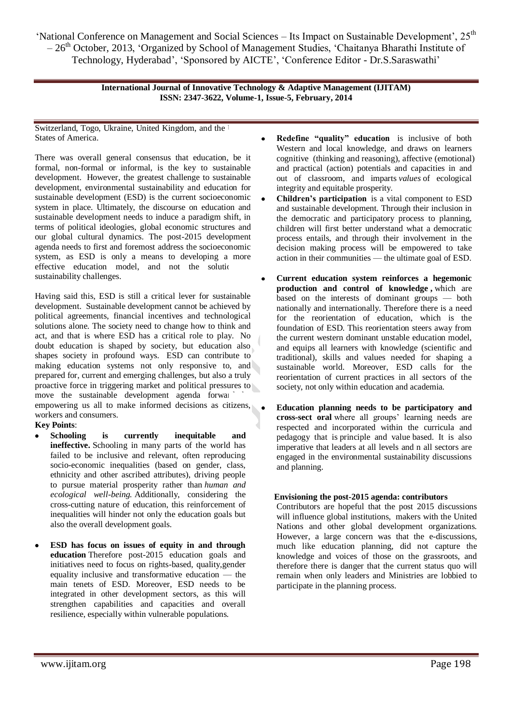> **International Journal of Innovative Technology & Adaptive Management (IJITAM) ISSN: 2347-3622, Volume-1, Issue-5, February, 2014**

Switzerland, Togo, Ukraine, United Kingdom, and the l States of America.

There was overall general consensus that education, be it formal, non-formal or informal, is the key to sustainable development. However, the greatest challenge to sustainable development, environmental sustainability and education for sustainable development (ESD) is the current socioeconomic system in place. Ultimately, the discourse on education and sustainable development needs to induce a paradigm shift, in terms of political ideologies, global economic structures and our global cultural dynamics. The post-2015 development agenda needs to first and foremost address the socioeconomic system, as ESD is only a means to developing a more effective education model, and not the solution sustainability challenges.

Having said this, ESD is still a critical lever for sustainable development. Sustainable development cannot be achieved by political agreements, financial incentives and technological solutions alone. The society need to change how to think and act, and that is where ESD has a critical role to play. No doubt education is shaped by society, but education also shapes society in profound ways. ESD can contribute to making education systems not only responsive to, and prepared for, current and emerging challenges, but also a truly proactive force in triggering market and political pressures to move the sustainable development agenda forward empowering us all to make informed decisions as citizens, workers and consumers.

**Key Points**:

- **Schooling is currently inequitable and ineffective.** Schooling in many parts of the world has failed to be inclusive and relevant, often reproducing socio-economic inequalities (based on gender, class, ethnicity and other ascribed attributes), driving people to pursue material prosperity rather than *human and ecological well-being.* Additionally, considering the cross-cutting nature of education, this reinforcement of inequalities will hinder not only the education goals but also the overall development goals.
- **ESD has focus on issues of equity in and through education** Therefore post-2015 education goals and initiatives need to focus on rights-based, quality,gender equality inclusive and transformative education — the main tenets of ESD. Moreover, ESD needs to be integrated in other development sectors, as this will strengthen capabilities and capacities and overall resilience, especially within vulnerable populations.
- **Redefine "quality" education** is inclusive of both Western and local knowledge, and draws on learners cognitive (thinking and reasoning), affective (emotional) and practical (action) potentials and capacities in and out of classroom, and imparts *values* of ecological integrity and equitable prosperity.
- **Children's participation** is a vital component to ESD and sustainable development. Through their inclusion in the democratic and participatory process to planning, children will first better understand what a democratic process entails, and through their involvement in the decision making process will be empowered to take action in their communities — the ultimate goal of ESD.
- **Current education system reinforces a hegemonic production and control of knowledge ,** which are based on the interests of dominant groups — both nationally and internationally. Therefore there is a need for the reorientation of education, which is the foundation of ESD. This reorientation steers away from the current western dominant unstable education model, and equips all learners with knowledge (scientific and traditional), skills and values needed for shaping a sustainable world. Moreover, ESD calls for the reorientation of current practices in all sectors of the society, not only within education and academia.
- **Education planning needs to be participatory and cross-sect oral** where all groups' learning needs are respected and incorporated within the curricula and pedagogy that is principle and value based. It is also imperative that leaders at all levels and n all sectors are engaged in the environmental sustainability discussions and planning.

## **Envisioning the post-2015 agenda: contributors**

Contributors are hopeful that the post 2015 discussions will influence global institutions, makers with the United Nations and other global development organizations. However, a large concern was that the e-discussions, much like education planning, did not capture the knowledge and voices of those on the grassroots, and therefore there is danger that the current status quo will remain when only leaders and Ministries are lobbied to participate in the planning process.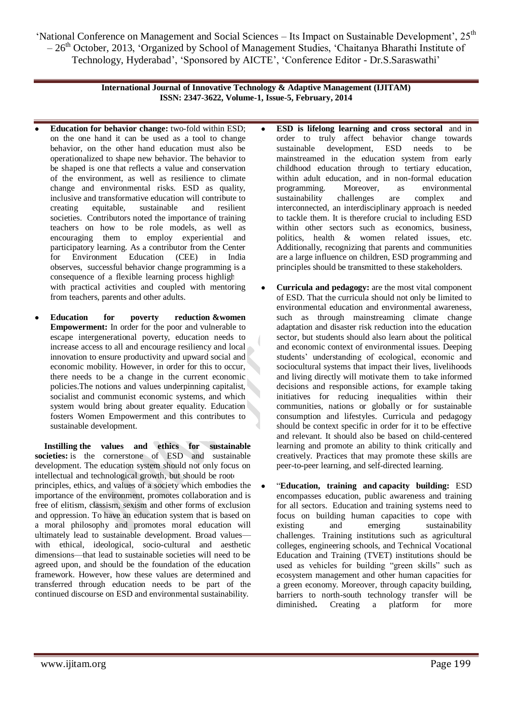> **International Journal of Innovative Technology & Adaptive Management (IJITAM) ISSN: 2347-3622, Volume-1, Issue-5, February, 2014**

- **Education for behavior change:** two-fold within ESD; on the one hand it can be used as a tool to change behavior, on the other hand education must also be operationalized to shape new behavior. The behavior to be shaped is one that reflects a value and conservation of the environment, as well as resilience to climate change and environmental risks. ESD as quality, inclusive and transformative education will contribute to creating equitable, sustainable and resilient societies. Contributors noted the importance of training teachers on how to be role models, as well as encouraging them to employ experiential and participatory learning. As a contributor from the Center for Environment Education (CEE) in India observes, successful behavior change programming is a consequence of a flexible learning process highligh with practical activities and coupled with mentoring from teachers, parents and other adults.
- **Education for poverty reduction &women Empowerment:** In order for the poor and vulnerable to escape intergenerational poverty, education needs to increase access to all and encourage resiliency and local innovation to ensure productivity and upward social and economic mobility. However, in order for this to occur, there needs to be a change in the current economic policies.The notions and values underpinning capitalist, socialist and communist economic systems, and which system would bring about greater equality. Education fosters Women Empowerment and this contributes to sustainable development.

**Instilling the values and ethics for sustainable societies:** is the cornerstone of ESD and sustainable development. The education system should not only focus on intellectual and technological growth, but should be roote principles, ethics, and values of a society which embodies the importance of the environment, promotes collaboration and is free of elitism, classism, sexism and other forms of exclusion and oppression. To have an education system that is based on a moral philosophy and promotes moral education will ultimately lead to sustainable development. Broad values with ethical, ideological, socio-cultural and aesthetic dimensions—that lead to sustainable societies will need to be agreed upon, and should be the foundation of the education framework. However, how these values are determined and transferred through education needs to be part of the continued discourse on ESD and environmental sustainability.

- **ESD is lifelong learning and cross sectoral** and in order to truly affect behavior change towards sustainable development, ESD needs to be mainstreamed in the education system from early childhood education through to tertiary education, within adult education, and in non-formal education programming. Moreover, as environmental sustainability challenges are complex and interconnected, an interdisciplinary approach is needed to tackle them. It is therefore crucial to including ESD within other sectors such as economics, business, politics, health & women related issues, etc. Additionally, recognizing that parents and communities are a large influence on children, ESD programming and principles should be transmitted to these stakeholders.
- **Curricula and pedagogy:** are the most vital component of ESD. That the curricula should not only be limited to environmental education and environmental awareness, such as through mainstreaming climate change adaptation and disaster risk reduction into the education sector, but students should also learn about the political and economic context of environmental issues. Deeping students' understanding of ecological, economic and sociocultural systems that impact their lives, livelihoods and living directly will motivate them to take informed decisions and responsible actions, for example taking initiatives for reducing inequalities within their communities, nations or globally or for sustainable consumption and lifestyles. Curricula and pedagogy should be context specific in order for it to be effective and relevant. It should also be based on child-centered learning and promote an ability to think critically and creatively. Practices that may promote these skills are peer-to-peer learning, and self-directed learning.
- ―**Education, training and capacity building:** ESD encompasses education, public awareness and training for all sectors. Education and training systems need to focus on building human capacities to cope with existing and emerging sustainability challenges. Training institutions such as agricultural colleges, engineering schools, and Technical Vocational Education and Training (TVET) institutions should be used as vehicles for building "green skills" such as ecosystem management and other human capacities for a green economy. Moreover, through capacity building, barriers to north-south technology transfer will be diminished**.** Creating a platform for more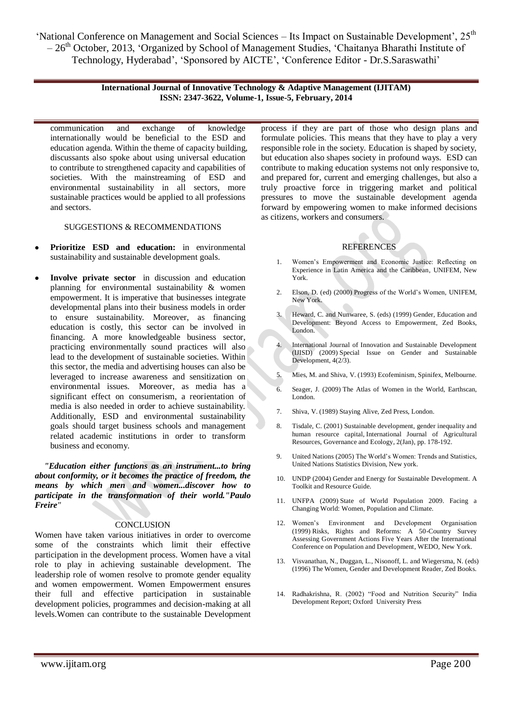> **International Journal of Innovative Technology & Adaptive Management (IJITAM) ISSN: 2347-3622, Volume-1, Issue-5, February, 2014**

communication and exchange of knowledge internationally would be beneficial to the ESD and education agenda. Within the theme of capacity building, discussants also spoke about using universal education to contribute to strengthened capacity and capabilities of societies. With the mainstreaming of ESD and environmental sustainability in all sectors, more sustainable practices would be applied to all professions and sectors.

SUGGESTIONS & RECOMMENDATIONS

- **Prioritize ESD and education:** in environmental sustainability and sustainable development goals.
- **Involve private sector** in discussion and education planning for environmental sustainability & women empowerment. It is imperative that businesses integrate developmental plans into their business models in order to ensure sustainability. Moreover, as financing education is costly, this sector can be involved in financing. A more knowledgeable business sector, practicing environmentally sound practices will also lead to the development of sustainable societies. Within this sector, the media and advertising houses can also be leveraged to increase awareness and sensitization on environmental issues. Moreover, as media has a significant effect on consumerism, a reorientation of media is also needed in order to achieve sustainability. Additionally, ESD and environmental sustainability goals should target business schools and management related academic institutions in order to transform business and economy.

*"Education either functions as an instrument...to bring about conformity, or it becomes the practice of freedom, the means by which men and women...discover how to participate in the transformation of their world."Paulo Freire"*

#### **CONCLUSION**

Women have taken various initiatives in order to overcome some of the constraints which limit their effective participation in the development process. Women have a vital role to play in achieving sustainable development. The leadership role of women resolve to promote gender equality and women empowerment. Women Empowerment ensures their full and effective participation in sustainable development policies, programmes and decision-making at all levels.Women can contribute to the sustainable Development process if they are part of those who design plans and formulate policies. This means that they have to play a very responsible role in the society. Education is shaped by society, but education also shapes society in profound ways. ESD can contribute to making education systems not only responsive to, and prepared for, current and emerging challenges, but also a truly proactive force in triggering market and political pressures to move the sustainable development agenda forward by empowering women to make informed decisions as citizens, workers and consumers.

## **REFERENCES**

- 1. Women's Empowerment and Economic Justice: Reflecting on Experience in Latin America and the Caribbean, UNIFEM, New York.
- 2. Elson, D. (ed) (2000) Progress of the World's Women, UNIFEM, New York.
- Heward, C. and Nunwaree, S. (eds) (1999) Gender, Education and Development: Beyond Access to Empowerment, Zed Books, London.
- 4. International Journal of Innovation and Sustainable Development (IJISD) (2009) Special Issue on Gender and Sustainable Development, 4(2/3).
- 5. Mies, M. and Shiva, V. (1993) Ecofeminism, Spinifex, Melbourne.
- 6. Seager, J. (2009) The Atlas of Women in the World, Earthscan, London.
- 7. Shiva, V. (1989) Staying Alive, Zed Press, London.
- 8. Tisdale, C. (2001) Sustainable development, gender inequality and human resource capital, International Journal of Agricultural Resources, Governance and Ecology, 2(Jan), pp. 178-192.
- 9. United Nations (2005) The World's Women: Trends and Statistics, United Nations Statistics Division, New york.
- 10. UNDP (2004) Gender and Energy for Sustainable Development. A Toolkit and Resource Guide.
- 11. UNFPA (2009) State of World Population 2009. Facing a Changing World: Women, Population and Climate.
- 12. Women's Environment and Development Organisation (1999) Risks, Rights and Reforms: A 50-Country Survey Assessing Government Actions Five Years After the International Conference on Population and Development, WEDO, New York.
- 13. Visvanathan, N., Duggan, L., Nisonoff, L. and Wiegersma, N. (eds) (1996) The Women, Gender and Development Reader, Zed Books.
- 14. Radhakrishna, R. (2002) "Food and Nutrition Security" India Development Report; Oxford University Press